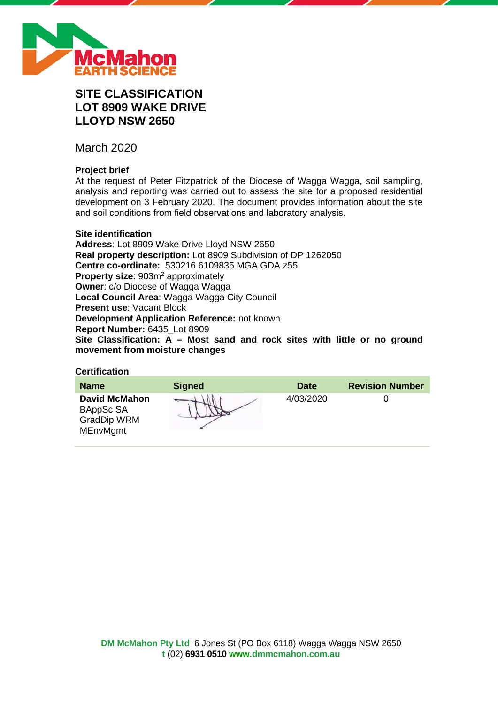

# **SITE CLASSIFICATION LOT 8909 WAKE DRIVE LLOYD NSW 2650**

March 2020

### **Project brief**

At the request of Peter Fitzpatrick of the Diocese of Wagga Wagga, soil sampling, analysis and reporting was carried out to assess the site for a proposed residential development on 3 February 2020. The document provides information about the site and soil conditions from field observations and laboratory analysis.

### **Site identification**

**Address**: Lot 8909 Wake Drive Lloyd NSW 2650 **Real property description:** Lot 8909 Subdivision of DP 1262050 **Centre co-ordinate:** 530216 6109835 MGA GDA z55 **Property size:** 903m<sup>2</sup> approximately **Owner**: c/o Diocese of Wagga Wagga **Local Council Area**: Wagga Wagga City Council **Present use**: Vacant Block **Development Application Reference:** not known **Report Number:** 6435\_Lot 8909 **Site Classification: A – Most sand and rock sites with little or no ground movement from moisture changes**

### **Certification**

| <b>Name</b>                                                                | <b>Signed</b> | <b>Date</b> | <b>Revision Number</b> |
|----------------------------------------------------------------------------|---------------|-------------|------------------------|
| <b>David McMahon</b><br>BAppSc SA<br><b>GradDip WRM</b><br><b>MEnvMgmt</b> |               | 4/03/2020   |                        |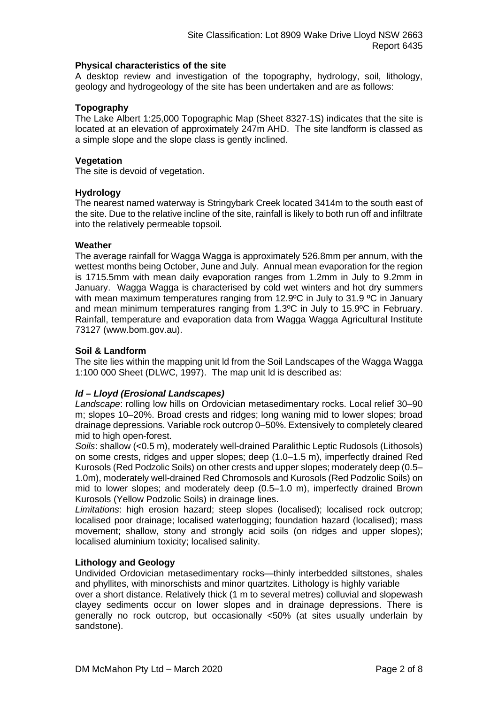### **Physical characteristics of the site**

A desktop review and investigation of the topography, hydrology, soil, lithology, geology and hydrogeology of the site has been undertaken and are as follows:

### **Topography**

The Lake Albert 1:25,000 Topographic Map (Sheet 8327-1S) indicates that the site is located at an elevation of approximately 247m AHD. The site landform is classed as a simple slope and the slope class is gently inclined.

### **Vegetation**

The site is devoid of vegetation.

### **Hydrology**

The nearest named waterway is Stringybark Creek located 3414m to the south east of the site. Due to the relative incline of the site, rainfall is likely to both run off and infiltrate into the relatively permeable topsoil.

### **Weather**

The average rainfall for Wagga Wagga is approximately 526.8mm per annum, with the wettest months being October, June and July. Annual mean evaporation for the region is 1715.5mm with mean daily evaporation ranges from 1.2mm in July to 9.2mm in January. Wagga Wagga is characterised by cold wet winters and hot dry summers with mean maximum temperatures ranging from 12.9°C in July to 31.9 °C in January and mean minimum temperatures ranging from 1.3ºC in July to 15.9ºC in February. Rainfall, temperature and evaporation data from Wagga Wagga Agricultural Institute 73127 (www.bom.gov.au).

### **Soil & Landform**

The site lies within the mapping unit ld from the Soil Landscapes of the Wagga Wagga 1:100 000 Sheet (DLWC, 1997). The map unit ld is described as:

### *ld – Lloyd (Erosional Landscapes)*

*Landscape*: rolling low hills on Ordovician metasedimentary rocks. Local relief 30–90 m; slopes 10–20%. Broad crests and ridges; long waning mid to lower slopes; broad drainage depressions. Variable rock outcrop 0–50%. Extensively to completely cleared mid to high open-forest.

*Soils*: shallow (<0.5 m), moderately well-drained Paralithic Leptic Rudosols (Lithosols) on some crests, ridges and upper slopes; deep (1.0–1.5 m), imperfectly drained Red Kurosols (Red Podzolic Soils) on other crests and upper slopes; moderately deep (0.5– 1.0m), moderately well-drained Red Chromosols and Kurosols (Red Podzolic Soils) on mid to lower slopes; and moderately deep (0.5–1.0 m), imperfectly drained Brown Kurosols (Yellow Podzolic Soils) in drainage lines.

*Limitations*: high erosion hazard; steep slopes (localised); localised rock outcrop; localised poor drainage; localised waterlogging; foundation hazard (localised); mass movement; shallow, stony and strongly acid soils (on ridges and upper slopes); localised aluminium toxicity; localised salinity.

### **Lithology and Geology**

Undivided Ordovician metasedimentary rocks—thinly interbedded siltstones, shales and phyllites, with minorschists and minor quartzites. Lithology is highly variable

over a short distance. Relatively thick (1 m to several metres) colluvial and slopewash clayey sediments occur on lower slopes and in drainage depressions. There is generally no rock outcrop, but occasionally <50% (at sites usually underlain by sandstone).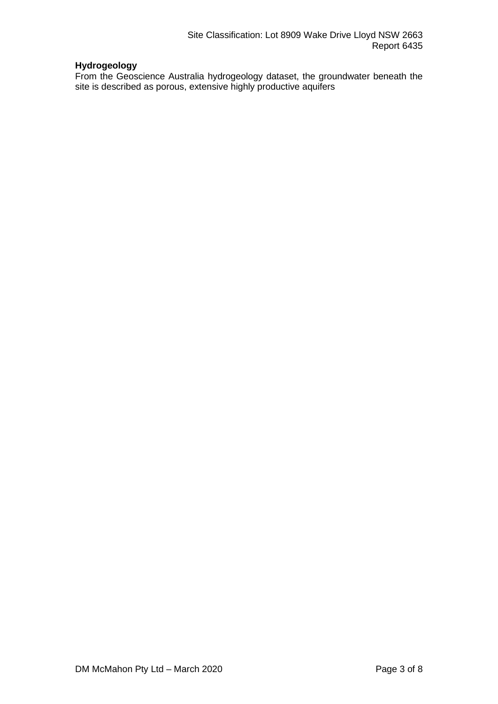## **Hydrogeology**

From the Geoscience Australia hydrogeology dataset, the groundwater beneath the site is described as porous, extensive highly productive aquifers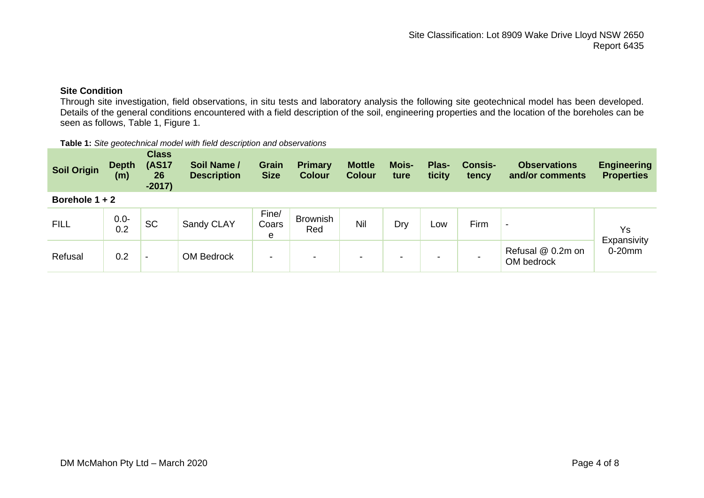### **Site Condition**

Through site investigation, field observations, in situ tests and laboratory analysis the following site geotechnical model has been developed. Details of the general conditions encountered with a field description of the soil, engineering properties and the location of the boreholes can be seen as follows, Table 1, Figure 1.

#### **Table 1:** *Site geotechnical model with field description and observations*

| <b>Soil Origin</b> | <b>Depth</b><br>(m) | <b>Class</b><br><b>(AS17</b><br>26<br>$-2017)$ | Soil Name /<br><b>Description</b> | <b>Grain</b><br><b>Size</b> | <b>Primary</b><br><b>Colour</b> | <b>Mottle</b><br><b>Colour</b> | <b>Mois-</b><br>ture     | Plas-<br>ticity | <b>Consis-</b><br>tency | <b>Observations</b><br>and/or comments | <b>Engineering</b><br><b>Properties</b> |
|--------------------|---------------------|------------------------------------------------|-----------------------------------|-----------------------------|---------------------------------|--------------------------------|--------------------------|-----------------|-------------------------|----------------------------------------|-----------------------------------------|
| Borehole $1 + 2$   |                     |                                                |                                   |                             |                                 |                                |                          |                 |                         |                                        |                                         |
| <b>FILL</b>        | $0.0 -$<br>0.2      | <b>SC</b>                                      | Sandy CLAY                        | Fine/<br>Coars<br>e         | <b>Brownish</b><br>Red          | Nil                            | Dry                      | LOW             | Firm                    | $\blacksquare$                         | Ys<br>Expansivity                       |
| Refusal            | 0.2                 | $\overline{\phantom{0}}$                       | <b>OM Bedrock</b>                 | $\blacksquare$              | $\,$                            | -                              | $\overline{\phantom{a}}$ | -               |                         | Refusal @ 0.2m on<br>OM bedrock        | $0-20$ mm                               |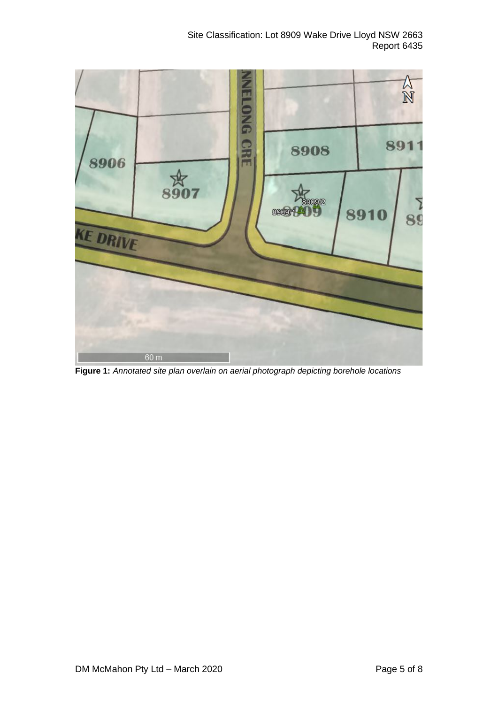Site Classification: Lot 8909 Wake Drive Lloyd NSW 2663 Report 6435



**Figure 1:** *Annotated site plan overlain on aerial photograph depicting borehole locations*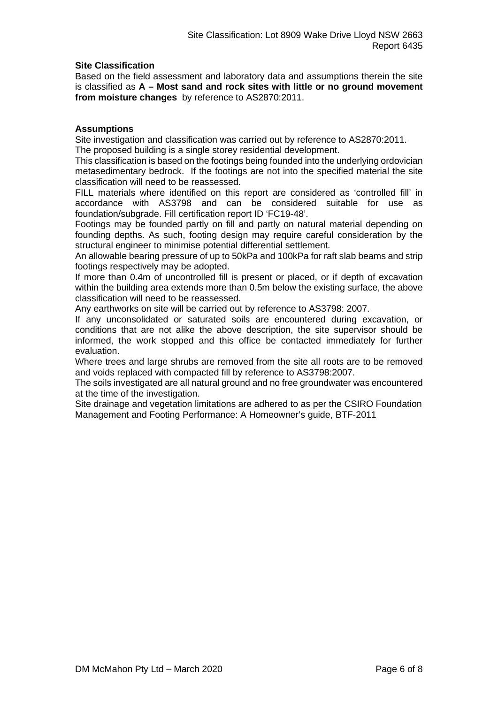### **Site Classification**

Based on the field assessment and laboratory data and assumptions therein the site is classified as **A – Most sand and rock sites with little or no ground movement from moisture changes** by reference to AS2870:2011.

### **Assumptions**

Site investigation and classification was carried out by reference to AS2870:2011. The proposed building is a single storey residential development.

This classification is based on the footings being founded into the underlying ordovician metasedimentary bedrock. If the footings are not into the specified material the site classification will need to be reassessed.

FILL materials where identified on this report are considered as 'controlled fill' in accordance with AS3798 and can be considered suitable for use as foundation/subgrade. Fill certification report ID 'FC19-48'.

Footings may be founded partly on fill and partly on natural material depending on founding depths. As such, footing design may require careful consideration by the structural engineer to minimise potential differential settlement.

An allowable bearing pressure of up to 50kPa and 100kPa for raft slab beams and strip footings respectively may be adopted.

If more than 0.4m of uncontrolled fill is present or placed, or if depth of excavation within the building area extends more than 0.5m below the existing surface, the above classification will need to be reassessed.

Any earthworks on site will be carried out by reference to AS3798: 2007.

If any unconsolidated or saturated soils are encountered during excavation, or conditions that are not alike the above description, the site supervisor should be informed, the work stopped and this office be contacted immediately for further evaluation.

Where trees and large shrubs are removed from the site all roots are to be removed and voids replaced with compacted fill by reference to AS3798:2007.

The soils investigated are all natural ground and no free groundwater was encountered at the time of the investigation.

Site drainage and vegetation limitations are adhered to as per the CSIRO Foundation Management and Footing Performance: A Homeowner's guide, BTF-2011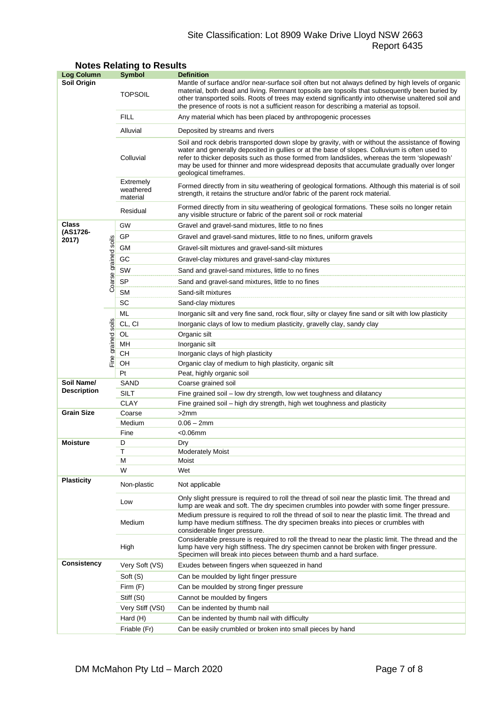## Site Classification: Lot 8909 Wake Drive Lloyd NSW 2663 Report 6435

| Log Column         |                | <b>Symbol</b>                      | <b>Definition</b>                                                                                                                                                                                                                                                                                                                                                                                                          |  |  |  |
|--------------------|----------------|------------------------------------|----------------------------------------------------------------------------------------------------------------------------------------------------------------------------------------------------------------------------------------------------------------------------------------------------------------------------------------------------------------------------------------------------------------------------|--|--|--|
| Soil Origin        |                | <b>TOPSOIL</b>                     | Mantle of surface and/or near-surface soil often but not always defined by high levels of organic<br>material, both dead and living. Remnant topsoils are topsoils that subsequently been buried by<br>other transported soils. Roots of trees may extend significantly into otherwise unaltered soil and<br>the presence of roots is not a sufficient reason for describing a material as topsoil.                        |  |  |  |
|                    |                | FILL                               | Any material which has been placed by anthropogenic processes                                                                                                                                                                                                                                                                                                                                                              |  |  |  |
|                    |                | Alluvial                           | Deposited by streams and rivers                                                                                                                                                                                                                                                                                                                                                                                            |  |  |  |
|                    |                | Colluvial                          | Soil and rock debris transported down slope by gravity, with or without the assistance of flowing<br>water and generally deposited in gullies or at the base of slopes. Colluvium is often used to<br>refer to thicker deposits such as those formed from landslides, whereas the term 'slopewash'<br>may be used for thinner and more widespread deposits that accumulate gradually over longer<br>geological timeframes. |  |  |  |
|                    |                | Extremely<br>weathered<br>material | Formed directly from in situ weathering of geological formations. Although this material is of soil<br>strength, it retains the structure and/or fabric of the parent rock material.                                                                                                                                                                                                                                       |  |  |  |
|                    |                | Residual                           | Formed directly from in situ weathering of geological formations. These soils no longer retain<br>any visible structure or fabric of the parent soil or rock material                                                                                                                                                                                                                                                      |  |  |  |
| Class              |                | GW                                 | Gravel and gravel-sand mixtures, little to no fines                                                                                                                                                                                                                                                                                                                                                                        |  |  |  |
| (AS1726-<br>2017)  |                | GP                                 | Gravel and gravel-sand mixtures, little to no fines, uniform gravels                                                                                                                                                                                                                                                                                                                                                       |  |  |  |
|                    | soils          | GМ                                 | Gravel-silt mixtures and gravel-sand-silt mixtures                                                                                                                                                                                                                                                                                                                                                                         |  |  |  |
|                    |                | GC                                 | Gravel-clay mixtures and gravel-sand-clay mixtures                                                                                                                                                                                                                                                                                                                                                                         |  |  |  |
|                    |                | SW                                 | Sand and gravel-sand mixtures, little to no fines                                                                                                                                                                                                                                                                                                                                                                          |  |  |  |
|                    | Coarse grained | <b>SP</b>                          |                                                                                                                                                                                                                                                                                                                                                                                                                            |  |  |  |
|                    |                | <b>SM</b>                          | Sand and gravel-sand mixtures, little to no fines<br>Sand-silt mixtures                                                                                                                                                                                                                                                                                                                                                    |  |  |  |
|                    |                | SC                                 |                                                                                                                                                                                                                                                                                                                                                                                                                            |  |  |  |
|                    |                | ML                                 | Sand-clay mixtures                                                                                                                                                                                                                                                                                                                                                                                                         |  |  |  |
|                    |                |                                    | Inorganic silt and very fine sand, rock flour, silty or clayey fine sand or silt with low plasticity                                                                                                                                                                                                                                                                                                                       |  |  |  |
|                    | soils          | CL, CI                             | Inorganic clays of low to medium plasticity, gravelly clay, sandy clay                                                                                                                                                                                                                                                                                                                                                     |  |  |  |
|                    |                | OL<br>MН                           | Organic silt<br>Inorganic silt                                                                                                                                                                                                                                                                                                                                                                                             |  |  |  |
|                    |                | CН                                 | Inorganic clays of high plasticity                                                                                                                                                                                                                                                                                                                                                                                         |  |  |  |
|                    | Fine grained   | OН                                 | Organic clay of medium to high plasticity, organic silt                                                                                                                                                                                                                                                                                                                                                                    |  |  |  |
|                    |                | Pt                                 | Peat, highly organic soil                                                                                                                                                                                                                                                                                                                                                                                                  |  |  |  |
| Soil Name/         |                | SAND                               | Coarse grained soil                                                                                                                                                                                                                                                                                                                                                                                                        |  |  |  |
| <b>Description</b> |                | SILT                               | Fine grained soil - low dry strength, low wet toughness and dilatancy                                                                                                                                                                                                                                                                                                                                                      |  |  |  |
|                    |                | <b>CLAY</b>                        | Fine grained soil - high dry strength, high wet toughness and plasticity                                                                                                                                                                                                                                                                                                                                                   |  |  |  |
| <b>Grain Size</b>  |                | Coarse                             | >2mm                                                                                                                                                                                                                                                                                                                                                                                                                       |  |  |  |
|                    |                | Medium                             | $0.06 - 2mm$                                                                                                                                                                                                                                                                                                                                                                                                               |  |  |  |
|                    |                | Fine                               | $<$ 0.06 $<$ mm                                                                                                                                                                                                                                                                                                                                                                                                            |  |  |  |
| <b>Moisture</b>    |                | D                                  | Dry                                                                                                                                                                                                                                                                                                                                                                                                                        |  |  |  |
|                    |                | Т                                  | <b>Moderately Moist</b>                                                                                                                                                                                                                                                                                                                                                                                                    |  |  |  |
|                    |                | М<br>W                             | Moist<br>Wet                                                                                                                                                                                                                                                                                                                                                                                                               |  |  |  |
| <b>Plasticity</b>  |                | Non-plastic                        | Not applicable                                                                                                                                                                                                                                                                                                                                                                                                             |  |  |  |
|                    |                | Low                                | Only slight pressure is required to roll the thread of soil near the plastic limit. The thread and<br>lump are weak and soft. The dry specimen crumbles into powder with some finger pressure.                                                                                                                                                                                                                             |  |  |  |
|                    |                | Medium                             | Medium pressure is required to roll the thread of soil to near the plastic limit. The thread and<br>lump have medium stiffness. The dry specimen breaks into pieces or crumbles with<br>considerable finger pressure.                                                                                                                                                                                                      |  |  |  |
|                    |                | High                               | Considerable pressure is required to roll the thread to near the plastic limit. The thread and the<br>lump have very high stiffness. The dry specimen cannot be broken with finger pressure.<br>Specimen will break into pieces between thumb and a hard surface.                                                                                                                                                          |  |  |  |
| Consistency        |                | Very Soft (VS)                     | Exudes between fingers when squeezed in hand                                                                                                                                                                                                                                                                                                                                                                               |  |  |  |
|                    |                | Soft (S)                           | Can be moulded by light finger pressure                                                                                                                                                                                                                                                                                                                                                                                    |  |  |  |
|                    |                | Firm (F)                           | Can be moulded by strong finger pressure                                                                                                                                                                                                                                                                                                                                                                                   |  |  |  |
|                    |                | Stiff (St)                         | Cannot be moulded by fingers                                                                                                                                                                                                                                                                                                                                                                                               |  |  |  |
|                    |                | Very Stiff (VSt)                   | Can be indented by thumb nail                                                                                                                                                                                                                                                                                                                                                                                              |  |  |  |
|                    |                | Hard (H)                           | Can be indented by thumb nail with difficulty                                                                                                                                                                                                                                                                                                                                                                              |  |  |  |
|                    |                | Friable (Fr)                       | Can be easily crumbled or broken into small pieces by hand                                                                                                                                                                                                                                                                                                                                                                 |  |  |  |

### **Notes Relating to Results**